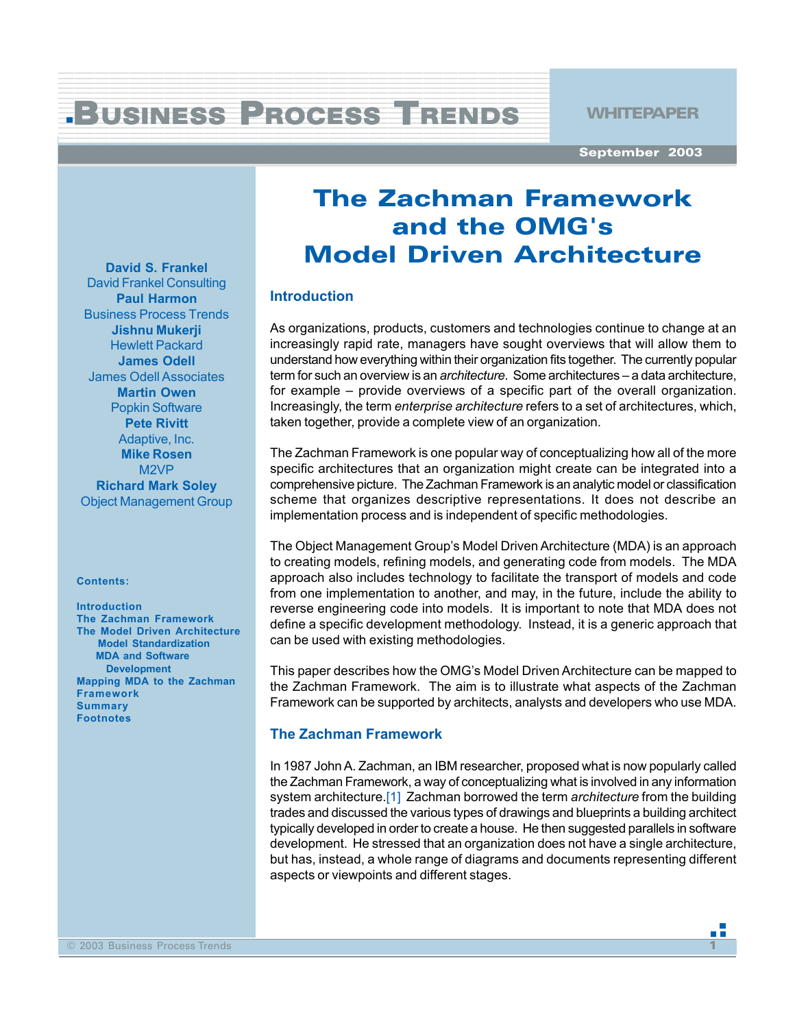#### 123456 2801 1234 September 1234 September 1234 September 1234 September 1234 September 1234 September 1234 September 1235 BUSINESS PROCESS TRENDS WHITEPAPER 1 4 12345678901234567890123456789012345678901234567890123456789012345678901234567890123456789012345678901234567890<br>12345678901234567890123456789012345678901234567890123456789012123456789012345678901234567890123456789012345678

12345678901234567890123456789012345678901234567890123456789012345678901234567890123456789012345678901234567890<br>12345678901234567890123456789012345678901234567890123456789012123456789012345678901234567890123456789012345678 12345678901234567890123456789012345678901234567890123456789012345678901234567890123456789012345678901234567890<br>12345678901234567890123456789012345678901234567890123456789012123456789012345678901234567890123456789012345678 12345678901234567890123456789012345678901234567890123456789012345678901234567890123456789012345678901234567890<br>12345678901234567890123456789012345678901234567890123456789012123456789012345678901234567890123456789012345678 1 4 12345678901234567890123456789012345678901234567890123456789012345678901234567890123456789012345678901234567890<br>12345678901234567890123456789012345678901234567890123456789012123456789012345678901234567890123456789012345678 1 4

1 de janvier de la companya de la companya de la companya de la companya de la companya de la companya de la c 1234567890123456789012345678901212345678901234567890123456789012123456789012345678901234567890121234

**September 2003**

n Fi

# **The Zachman Framework and the OMG's Model Driven Architecture**

## **Introduction**

As organizations, products, customers and technologies continue to change at an increasingly rapid rate, managers have sought overviews that will allow them to understand how everything within their organization fits together. The currently popular term for such an overview is an *architecture*. Some architectures – a data architecture, for example – provide overviews of a specific part of the overall organization. Increasingly, the term *enterprise architecture* refers to a set of architectures, which, taken together, provide a complete view of an organization.

The Zachman Framework is one popular way of conceptualizing how all of the more specific architectures that an organization might create can be integrated into a comprehensive picture. The Zachman Framework is an analytic model or classification scheme that organizes descriptive representations. It does not describe an implementation process and is independent of specific methodologies.

The Object Management Group's Model Driven Architecture (MDA) is an approach to creating models, refining models, and generating code from models. The MDA approach also includes technology to facilitate the transport of models and code from one implementation to another, and may, in the future, include the ability to reverse engineering code into models. It is important to note that MDA does not define a specific development methodology. Instead, it is a generic approach that can be used with existing methodologies.

This paper describes how the OMG's Model Driven Architecture can be mapped to the Zachman Framework. The aim is to illustrate what aspects of the Zachman Framework can be supported by architects, analysts and developers who use MDA.

## **The Zachman Framework**

In 1987 John A. Zachman, an IBM researcher, proposed what is now popularly called the Zachman Framework, a way of conceptualizing what is involved in any information system architecture.[1] Zachman borrowed the term *architecture* from the building trades and discussed the various types of drawings and blueprints a building architect typically developed in order to create a house. He then suggested parallels in software development. He stressed that an organization does not have a single architecture, but has, instead, a whole range of diagrams and documents representing different aspects or viewpoints and different stages.

**David S. Frankel** David Frankel Consulting **Paul Harmon** Business Process Trends **Jishnu Mukerji** Hewlett Packard **James Odell** James Odell Associates **Martin Owen** Popkin Software **Pete Rivitt** Adaptive, Inc. **Mike Rosen** M2VP **Richard Mark Soley** Object Management Group

#### **Contents:**

**Introduction The Zachman Framework The Model Driven Architecture Model Standardization MDA and Software Development Mapping MDA to the Zachman Framework Summary Footnotes**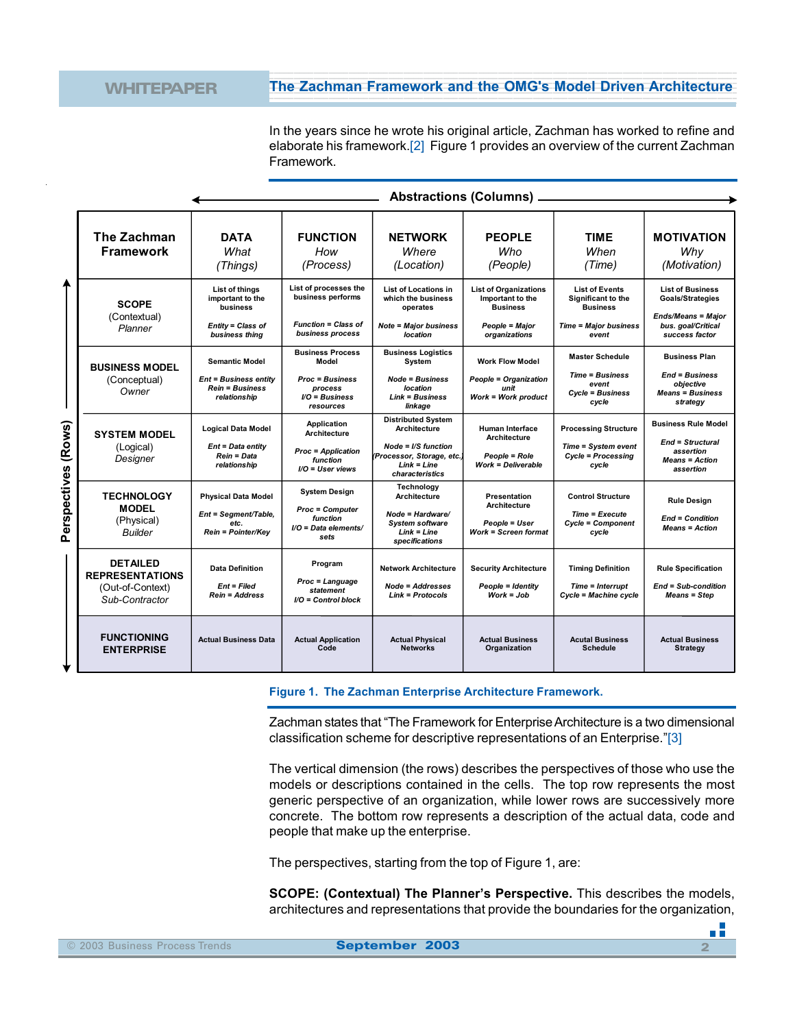In the years since he wrote his original article, Zachman has worked to refine and elaborate his framework.[2] Figure 1 provides an overview of the current Zachman Framework.

|                        | The Zachman<br><b>Framework</b>                                                 | <b>DATA</b><br>What<br>(Things)                                                                 | <b>FUNCTION</b><br>How<br>(Process)                                                                   | <b>NETWORK</b><br>Where<br>(Location)                                                                                                     | <b>PEOPLE</b><br><b>Who</b><br>(People)                                                                | <b>TIME</b><br>When<br>(Time)                                                                                  | <b>MOTIVATION</b><br>Why<br>(Motivation)                                                                                |
|------------------------|---------------------------------------------------------------------------------|-------------------------------------------------------------------------------------------------|-------------------------------------------------------------------------------------------------------|-------------------------------------------------------------------------------------------------------------------------------------------|--------------------------------------------------------------------------------------------------------|----------------------------------------------------------------------------------------------------------------|-------------------------------------------------------------------------------------------------------------------------|
|                        | <b>SCOPE</b><br>(Contextual)<br>Planner                                         | List of things<br>important to the<br>business<br>Entity = Class of<br>business thing           | List of processes the<br>business performs<br><b>Function = Class of</b><br>business process          | List of Locations in<br>which the business<br>operates<br><b>Note = Major business</b><br>location                                        | <b>List of Organizations</b><br>Important to the<br><b>Business</b><br>People = Major<br>organizations | <b>List of Events</b><br><b>Significant to the</b><br><b>Business</b><br><b>Time = Major business</b><br>event | <b>List of Business</b><br><b>Goals/Strategies</b><br><b>Ends/Means = Major</b><br>bus. goal/Critical<br>success factor |
|                        | <b>BUSINESS MODEL</b><br>(Conceptual)<br>Owner                                  | <b>Semantic Model</b><br><b>Ent = Business entity</b><br><b>Rein = Business</b><br>relationship | <b>Business Process</b><br>Model<br><b>Proc = Business</b><br>process<br>$IO = Business$<br>resources | <b>Business Logistics</b><br>System<br><b>Node = Business</b><br>location<br><b>Link = Business</b><br>linkage                            | <b>Work Flow Model</b><br><b>People = Organization</b><br>unit<br>Work = Work product                  | <b>Master Schedule</b><br><b>Time = Business</b><br>event<br>Cycle = Business<br>cycle                         | <b>Business Plan</b><br><b>End = Business</b><br>obiective<br><b>Means = Business</b><br>strategy                       |
| (Rows)<br>Perspectives | <b>SYSTEM MODEL</b><br>(Logical)<br>Designer                                    | <b>Logical Data Model</b><br>Ent = Data entity<br>Rein = Data<br>relationship                   | Application<br><b>Architecture</b><br><b>Proc = Application</b><br>function<br>I/O = User views       | <b>Distributed System</b><br>Architecture<br>Node = $\sqrt{S}$ function<br>(Processor, Storage, etc.)<br>$Link = Line$<br>characteristics | <b>Human Interface</b><br><b>Architecture</b><br><b>People = Role</b><br><b>Work = Deliverable</b>     | <b>Processing Structure</b><br>Time = System event<br><b>Cycle = Processing</b><br>cycle                       | <b>Business Rule Model</b><br><b>End = Structural</b><br>assertion<br><b>Means = Action</b><br>assertion                |
|                        | <b>TECHNOLOGY</b><br><b>MODEL</b><br>(Physical)<br><b>Builder</b>               | <b>Physical Data Model</b><br>Ent = Segment/Table,<br>etc.<br>Rein = Pointer/Key                | <b>System Design</b><br><b>Proc = Computer</b><br>function<br>I/O = Data elements/<br>sets            | Technology<br>Architecture<br>Node = Hardware/<br><b>System software</b><br>$Link = Line$<br>specifications                               | Presentation<br>Architecture<br><b>People = User</b><br><b>Work = Screen format</b>                    | <b>Control Structure</b><br>Time = Execute<br>Cycle = Component<br>cycle                                       | Rule Design<br><b>End = Condition</b><br><b>Means = Action</b>                                                          |
|                        | <b>DETAILED</b><br><b>REPRESENTATIONS</b><br>(Out-of-Context)<br>Sub-Contractor | <b>Data Definition</b><br>$Ent = Filed$<br><b>Rein = Address</b>                                | Program<br>Proc = Language<br>statement<br>$VO = Control block$                                       | <b>Network Architecture</b><br>Node = Addresses<br>$Link = Protocols$                                                                     | <b>Security Architecture</b><br>People = Identity<br>$Work = Job$                                      | <b>Timing Definition</b><br>Time = Interrupt<br>Cycle = Machine cycle                                          | <b>Rule Specification</b><br>End = Sub-condition<br><b>Means = Step</b>                                                 |
|                        | <b>FUNCTIONING</b><br><b>ENTERPRISE</b>                                         | <b>Actual Business Data</b>                                                                     | <b>Actual Application</b><br>Code                                                                     | <b>Actual Physical</b><br><b>Networks</b>                                                                                                 | <b>Actual Business</b><br>Organization                                                                 | <b>Acutal Business</b><br><b>Schedule</b>                                                                      | <b>Actual Business</b><br>Strategy                                                                                      |

**Figure 1. The Zachman Enterprise Architecture Framework.**

Zachman states that "The Framework for Enterprise Architecture is a two dimensional classification scheme for descriptive representations of an Enterprise."[3]

The vertical dimension (the rows) describes the perspectives of those who use the models or descriptions contained in the cells. The top row represents the most generic perspective of an organization, while lower rows are successively more concrete. The bottom row represents a description of the actual data, code and people that make up the enterprise.

The perspectives, starting from the top of Figure 1, are:

**SCOPE: (Contextual) The Planner's Perspective.** This describes the models, architectures and representations that provide the boundaries for the organization,

n Fi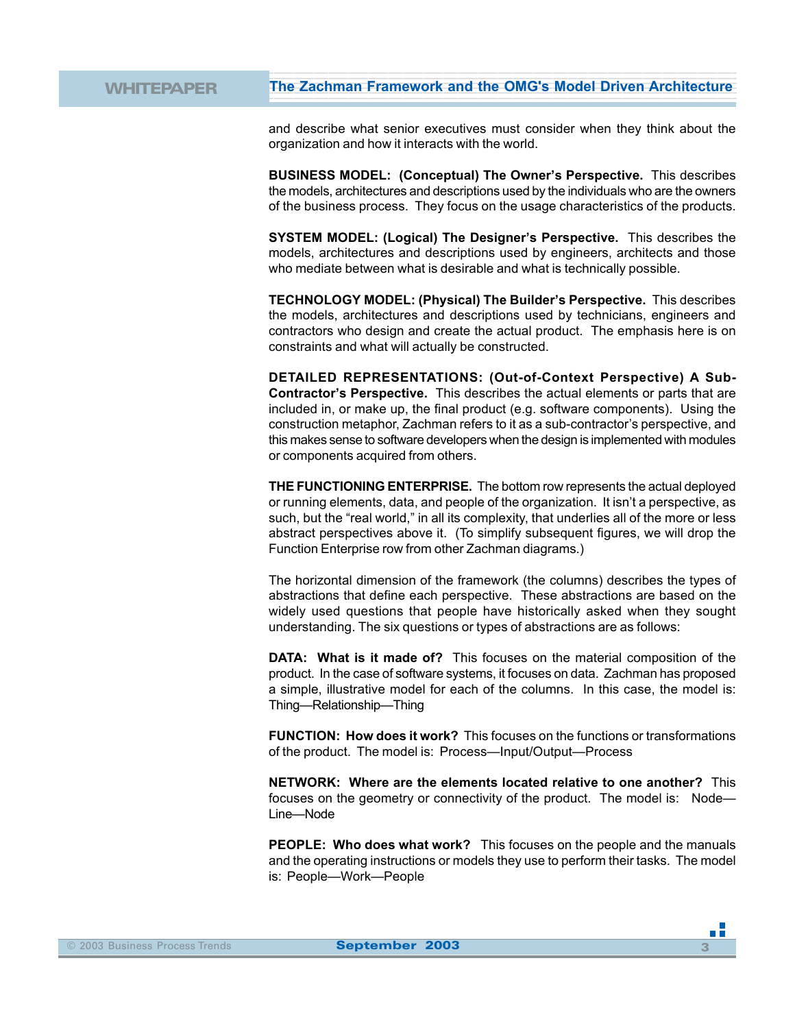and describe what senior executives must consider when they think about the organization and how it interacts with the world.

12345678901234567890123456789012123456789012345678901234567890121234567890123456789012345678901 12345678901234567890123456789012123456789012345678901234567890121234567890123456789012345678901

**BUSINESS MODEL: (Conceptual) The Owner's Perspective.** This describes the models, architectures and descriptions used by the individuals who are the owners of the business process. They focus on the usage characteristics of the products.

**SYSTEM MODEL: (Logical) The Designer's Perspective.** This describes the models, architectures and descriptions used by engineers, architects and those who mediate between what is desirable and what is technically possible.

**TECHNOLOGY MODEL: (Physical) The Builder's Perspective.** This describes the models, architectures and descriptions used by technicians, engineers and contractors who design and create the actual product. The emphasis here is on constraints and what will actually be constructed.

**DETAILED REPRESENTATIONS: (Out-of-Context Perspective) A Sub-Contractor's Perspective.** This describes the actual elements or parts that are included in, or make up, the final product (e.g. software components). Using the construction metaphor, Zachman refers to it as a sub-contractor's perspective, and this makes sense to software developers when the design is implemented with modules or components acquired from others.

**THE FUNCTIONING ENTERPRISE.** The bottom row represents the actual deployed or running elements, data, and people of the organization. It isn't a perspective, as such, but the "real world," in all its complexity, that underlies all of the more or less abstract perspectives above it. (To simplify subsequent figures, we will drop the Function Enterprise row from other Zachman diagrams.)

The horizontal dimension of the framework (the columns) describes the types of abstractions that define each perspective. These abstractions are based on the widely used questions that people have historically asked when they sought understanding. The six questions or types of abstractions are as follows:

**DATA: What is it made of?** This focuses on the material composition of the product. In the case of software systems, it focuses on data. Zachman has proposed a simple, illustrative model for each of the columns. In this case, the model is: Thing—Relationship—Thing

**FUNCTION: How does it work?** This focuses on the functions or transformations of the product. The model is: Process—Input/Output—Process

**NETWORK: Where are the elements located relative to one another?** This focuses on the geometry or connectivity of the product. The model is: Node— Line—Node

**PEOPLE: Who does what work?** This focuses on the people and the manuals and the operating instructions or models they use to perform their tasks. The model is: People—Work—People

пĒ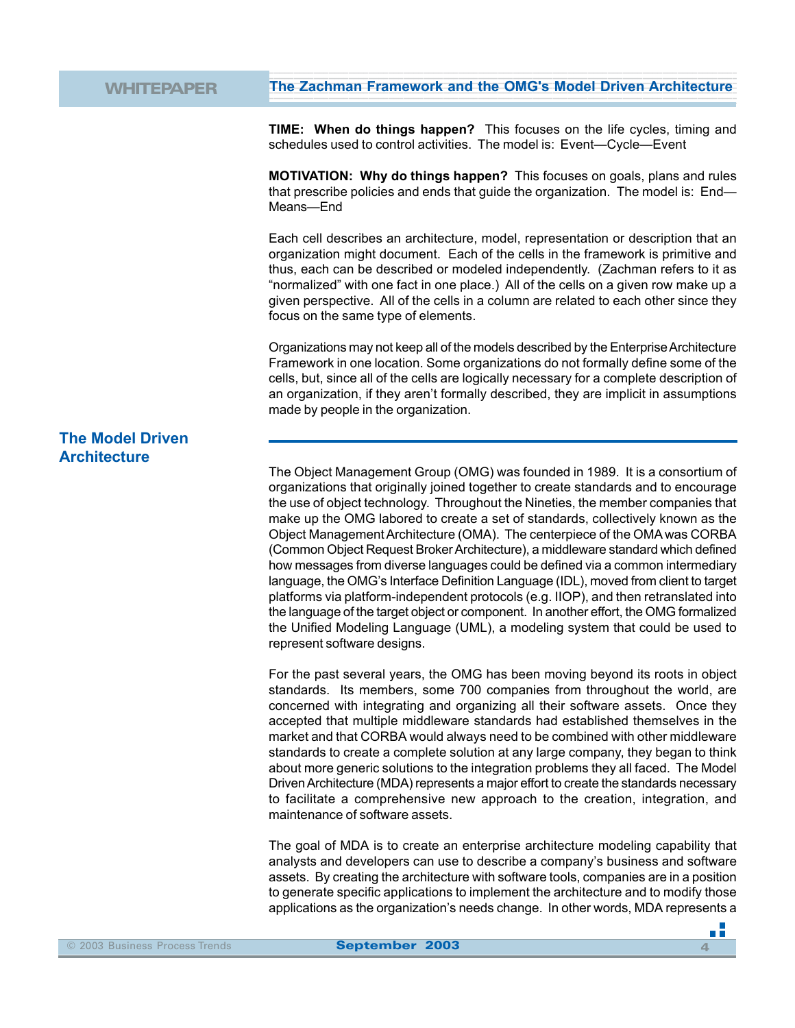**TIME: When do things happen?** This focuses on the life cycles, timing and schedules used to control activities. The model is: Event—Cycle—Event

12345678901234567890123456789012123456789012345678901234567890121234567890123456789012345678901 12345678901234567890123456789012123456789012345678901234567890121234567890123456789012345678901

**MOTIVATION: Why do things happen?** This focuses on goals, plans and rules that prescribe policies and ends that guide the organization. The model is: End— Means—End

Each cell describes an architecture, model, representation or description that an organization might document. Each of the cells in the framework is primitive and thus, each can be described or modeled independently. (Zachman refers to it as "normalized" with one fact in one place.) All of the cells on a given row make up a given perspective. All of the cells in a column are related to each other since they focus on the same type of elements.

Organizations may not keep all of the models described by the Enterprise Architecture Framework in one location. Some organizations do not formally define some of the cells, but, since all of the cells are logically necessary for a complete description of an organization, if they aren't formally described, they are implicit in assumptions made by people in the organization.

## **The Model Driven Architecture**

The Object Management Group (OMG) was founded in 1989. It is a consortium of organizations that originally joined together to create standards and to encourage the use of object technology. Throughout the Nineties, the member companies that make up the OMG labored to create a set of standards, collectively known as the Object Management Architecture (OMA). The centerpiece of the OMA was CORBA (Common Object Request Broker Architecture), a middleware standard which defined how messages from diverse languages could be defined via a common intermediary language, the OMG's Interface Definition Language (IDL), moved from client to target platforms via platform-independent protocols (e.g. IIOP), and then retranslated into the language of the target object or component. In another effort, the OMG formalized the Unified Modeling Language (UML), a modeling system that could be used to represent software designs.

For the past several years, the OMG has been moving beyond its roots in object standards. Its members, some 700 companies from throughout the world, are concerned with integrating and organizing all their software assets. Once they accepted that multiple middleware standards had established themselves in the market and that CORBA would always need to be combined with other middleware standards to create a complete solution at any large company, they began to think about more generic solutions to the integration problems they all faced. The Model Driven Architecture (MDA) represents a major effort to create the standards necessary to facilitate a comprehensive new approach to the creation, integration, and maintenance of software assets.

The goal of MDA is to create an enterprise architecture modeling capability that analysts and developers can use to describe a company's business and software assets. By creating the architecture with software tools, companies are in a position to generate specific applications to implement the architecture and to modify those applications as the organization's needs change. In other words, MDA represents a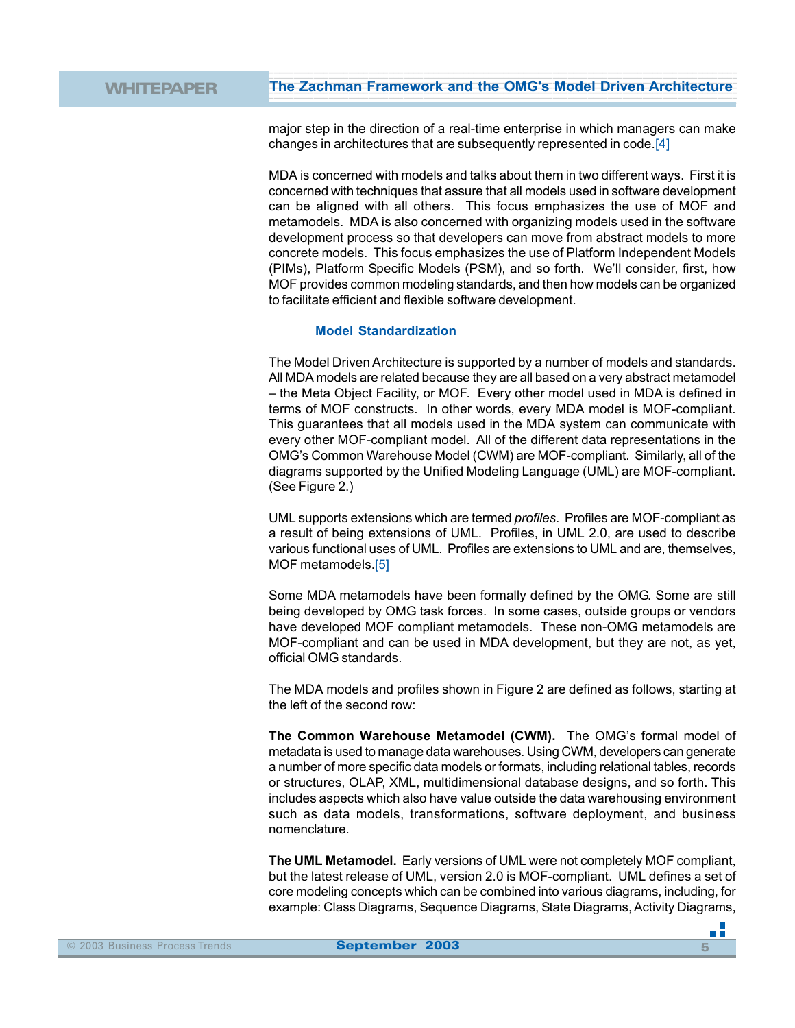major step in the direction of a real-time enterprise in which managers can make changes in architectures that are subsequently represented in code.[4]

12345678901234567890123456789012123456789012345678901234567890121234567890123456789012345678901 12345678901234567890123456789012123456789012345678901234567890121234567890123456789012345678901

MDA is concerned with models and talks about them in two different ways. First it is concerned with techniques that assure that all models used in software development can be aligned with all others. This focus emphasizes the use of MOF and metamodels. MDA is also concerned with organizing models used in the software development process so that developers can move from abstract models to more concrete models. This focus emphasizes the use of Platform Independent Models (PIMs), Platform Specific Models (PSM), and so forth. We'll consider, first, how MOF provides common modeling standards, and then how models can be organized to facilitate efficient and flexible software development.

### **Model Standardization**

The Model Driven Architecture is supported by a number of models and standards. All MDA models are related because they are all based on a very abstract metamodel – the Meta Object Facility, or MOF. Every other model used in MDA is defined in terms of MOF constructs. In other words, every MDA model is MOF-compliant. This guarantees that all models used in the MDA system can communicate with every other MOF-compliant model. All of the different data representations in the OMG's Common Warehouse Model (CWM) are MOF-compliant. Similarly, all of the diagrams supported by the Unified Modeling Language (UML) are MOF-compliant. (See Figure 2.)

UML supports extensions which are termed *profiles*. Profiles are MOF-compliant as a result of being extensions of UML. Profiles, in UML 2.0, are used to describe various functional uses of UML. Profiles are extensions to UML and are, themselves, MOF metamodels.[5]

Some MDA metamodels have been formally defined by the OMG. Some are still being developed by OMG task forces. In some cases, outside groups or vendors have developed MOF compliant metamodels. These non-OMG metamodels are MOF-compliant and can be used in MDA development, but they are not, as yet, official OMG standards.

The MDA models and profiles shown in Figure 2 are defined as follows, starting at the left of the second row:

**The Common Warehouse Metamodel (CWM).** The OMG's formal model of metadata is used to manage data warehouses. Using CWM, developers can generate a number of more specific data models or formats, including relational tables, records or structures, OLAP, XML, multidimensional database designs, and so forth. This includes aspects which also have value outside the data warehousing environment such as data models, transformations, software deployment, and business nomenclature.

**The UML Metamodel.** Early versions of UML were not completely MOF compliant, but the latest release of UML, version 2.0 is MOF-compliant. UML defines a set of core modeling concepts which can be combined into various diagrams, including, for example: Class Diagrams, Sequence Diagrams, State Diagrams, Activity Diagrams,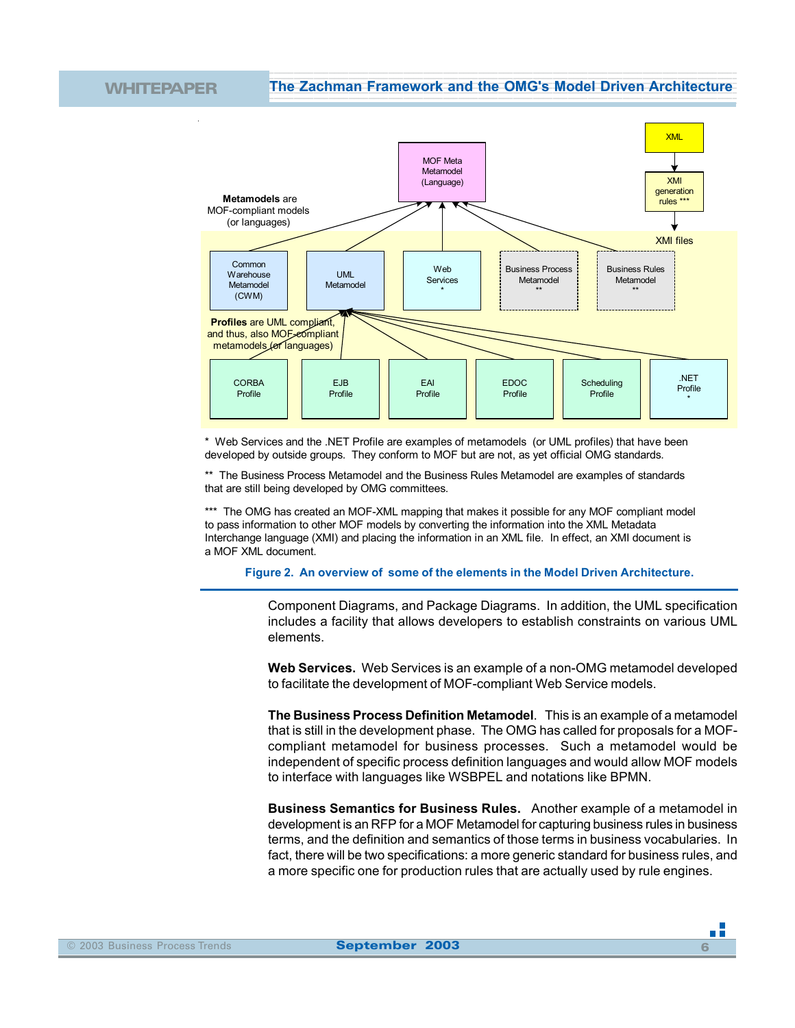WHITEPAPER The Zachman Framework and the OMG's Model Driven Architecture 12345678901234567890123456789012123456789012345678901234567890121234567890123456789012345678901 12345678901234567890123456789012123456789012345678901234567890121234567890123456789012345678901



\* Web Services and the .NET Profile are examples of metamodels (or UML profiles) that have been developed by outside groups. They conform to MOF but are not, as yet official OMG standards.

\*\* The Business Process Metamodel and the Business Rules Metamodel are examples of standards that are still being developed by OMG committees.

\*\*\* The OMG has created an MOF-XML mapping that makes it possible for any MOF compliant model to pass information to other MOF models by converting the information into the XML Metadata Interchange language (XMI) and placing the information in an XML file. In effect, an XMI document is a MOF XML document.

**Figure 2. An overview of some of the elements in the Model Driven Architecture.**

Component Diagrams, and Package Diagrams. In addition, the UML specification includes a facility that allows developers to establish constraints on various UML elements.

**Web Services.** Web Services is an example of a non-OMG metamodel developed to facilitate the development of MOF-compliant Web Service models.

**The Business Process Definition Metamodel**. This is an example of a metamodel that is still in the development phase. The OMG has called for proposals for a MOFcompliant metamodel for business processes. Such a metamodel would be independent of specific process definition languages and would allow MOF models to interface with languages like WSBPEL and notations like BPMN.

**Business Semantics for Business Rules.** Another example of a metamodel in development is an RFP for a MOF Metamodel for capturing business rules in business terms, and the definition and semantics of those terms in business vocabularies. In fact, there will be two specifications: a more generic standard for business rules, and a more specific one for production rules that are actually used by rule engines.

n Fi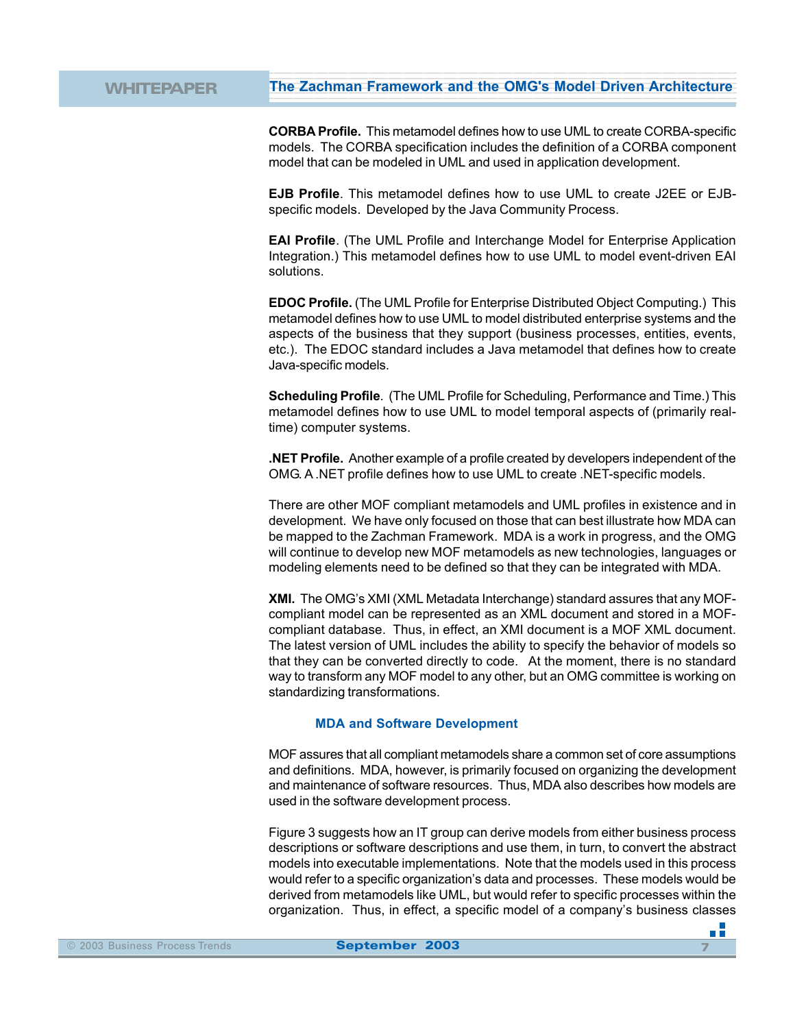**CORBA Profile.** This metamodel defines how to use UML to create CORBA-specific models. The CORBA specification includes the definition of a CORBA component model that can be modeled in UML and used in application development.

12345678901234567890123456789012123456789012345678901234567890121234567890123456789012345678901 12345678901234567890123456789012123456789012345678901234567890121234567890123456789012345678901

**EJB Profile**. This metamodel defines how to use UML to create J2EE or EJBspecific models. Developed by the Java Community Process.

**EAI Profile**. (The UML Profile and Interchange Model for Enterprise Application Integration.) This metamodel defines how to use UML to model event-driven EAI solutions.

**EDOC Profile.** (The UML Profile for Enterprise Distributed Object Computing.) This metamodel defines how to use UML to model distributed enterprise systems and the aspects of the business that they support (business processes, entities, events, etc.). The EDOC standard includes a Java metamodel that defines how to create Java-specific models.

**Scheduling Profile**. (The UML Profile for Scheduling, Performance and Time.) This metamodel defines how to use UML to model temporal aspects of (primarily realtime) computer systems.

**.NET Profile.** Another example of a profile created by developers independent of the OMG. A .NET profile defines how to use UML to create .NET-specific models.

There are other MOF compliant metamodels and UML profiles in existence and in development. We have only focused on those that can best illustrate how MDA can be mapped to the Zachman Framework. MDA is a work in progress, and the OMG will continue to develop new MOF metamodels as new technologies, languages or modeling elements need to be defined so that they can be integrated with MDA.

**XMI.** The OMG's XMI (XML Metadata Interchange) standard assures that any MOFcompliant model can be represented as an XML document and stored in a MOFcompliant database. Thus, in effect, an XMI document is a MOF XML document. The latest version of UML includes the ability to specify the behavior of models so that they can be converted directly to code. At the moment, there is no standard way to transform any MOF model to any other, but an OMG committee is working on standardizing transformations.

### **MDA and Software Development**

MOF assures that all compliant metamodels share a common set of core assumptions and definitions. MDA, however, is primarily focused on organizing the development and maintenance of software resources. Thus, MDA also describes how models are used in the software development process.

Figure 3 suggests how an IT group can derive models from either business process descriptions or software descriptions and use them, in turn, to convert the abstract models into executable implementations. Note that the models used in this process would refer to a specific organization's data and processes. These models would be derived from metamodels like UML, but would refer to specific processes within the organization. Thus, in effect, a specific model of a company's business classes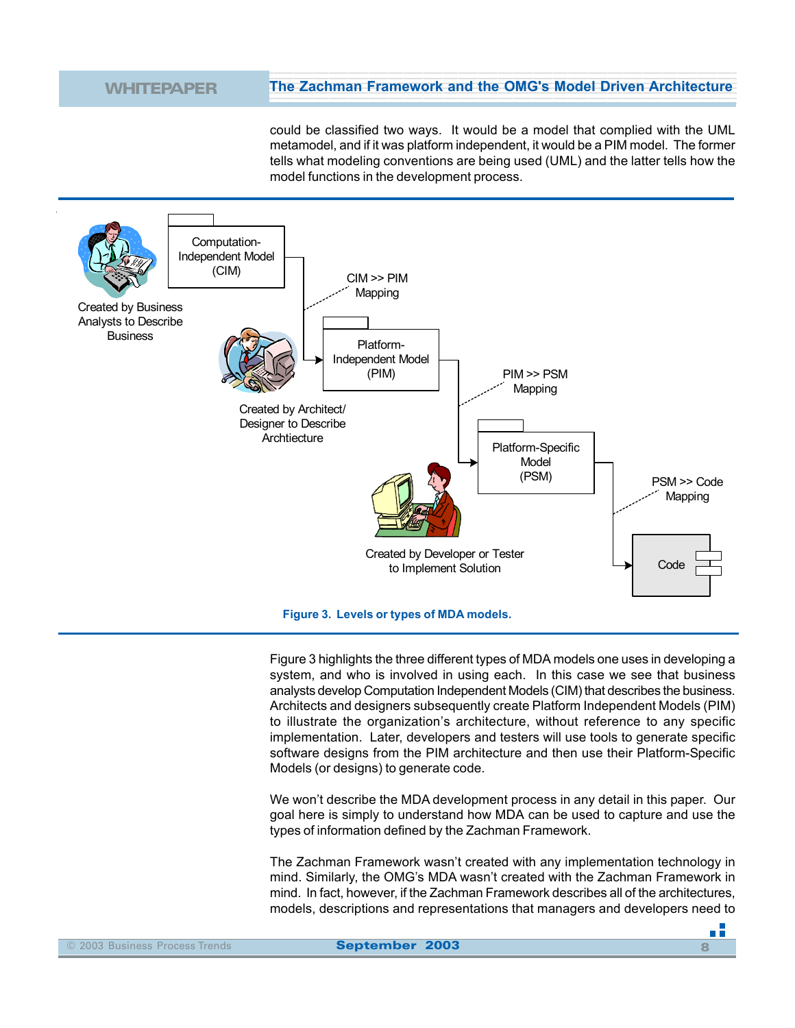could be classified two ways. It would be a model that complied with the UML metamodel, and if it was platform independent, it would be a PIM model. The former tells what modeling conventions are being used (UML) and the latter tells how the model functions in the development process.

12345678901234567890123456789012123456789012345678901234567890121234567890123456789012345678901 12345678901234567890123456789012123456789012345678901234567890121234567890123456789012345678901



**Figure 3. Levels or types of MDA models.**

Figure 3 highlights the three different types of MDA models one uses in developing a system, and who is involved in using each. In this case we see that business analysts develop Computation Independent Models (CIM) that describes the business. Architects and designers subsequently create Platform Independent Models (PIM) to illustrate the organization's architecture, without reference to any specific implementation. Later, developers and testers will use tools to generate specific software designs from the PIM architecture and then use their Platform-Specific Models (or designs) to generate code.

We won't describe the MDA development process in any detail in this paper. Our goal here is simply to understand how MDA can be used to capture and use the types of information defined by the Zachman Framework.

The Zachman Framework wasn't created with any implementation technology in mind. Similarly, the OMG's MDA wasn't created with the Zachman Framework in mind. In fact, however, if the Zachman Framework describes all of the architectures, models, descriptions and representations that managers and developers need to

пĒ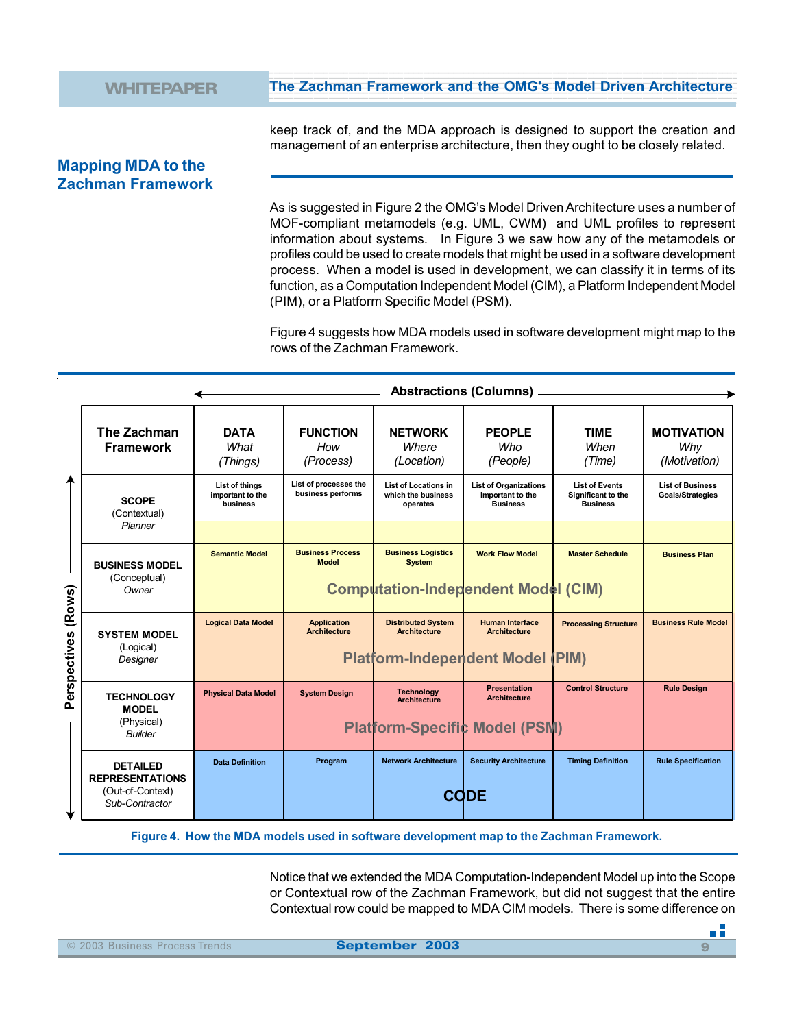keep track of, and the MDA approach is designed to support the creation and management of an enterprise architecture, then they ought to be closely related.

12345678901234567890123456789012123456789012345678901234567890121234567890123456789012345678901 12345678901234567890123456789012123456789012345678901234567890121234567890123456789012345678901

## **Mapping MDA to the Zachman Framework**

As is suggested in Figure 2 the OMG's Model Driven Architecture uses a number of MOF-compliant metamodels (e.g. UML, CWM) and UML profiles to represent information about systems. In Figure 3 we saw how any of the metamodels or profiles could be used to create models that might be used in a software development process. When a model is used in development, we can classify it in terms of its function, as a Computation Independent Model (CIM), a Platform Independent Model (PIM), or a Platform Specific Model (PSM).

Figure 4 suggests how MDA models used in software development might map to the rows of the Zachman Framework.

| (Rows)<br>Perspectives | The Zachman<br><b>Framework</b>                                                 | <b>DATA</b><br>What<br>(Things)                | <b>FUNCTION</b><br>How<br>(Process)        | <b>NETWORK</b><br>Where<br>(Location)                         | <b>PEOPLE</b><br>Who<br>(People)                                                         | <b>TIME</b><br>When<br>(Time)                                  | <b>MOTIVATION</b><br>Why<br>(Motivation)           |
|------------------------|---------------------------------------------------------------------------------|------------------------------------------------|--------------------------------------------|---------------------------------------------------------------|------------------------------------------------------------------------------------------|----------------------------------------------------------------|----------------------------------------------------|
|                        | <b>SCOPE</b><br>(Contextual)<br>Planner                                         | List of things<br>important to the<br>business | List of processes the<br>business performs | <b>List of Locations in</b><br>which the business<br>operates | <b>List of Organizations</b><br>Important to the<br><b>Business</b>                      | <b>List of Events</b><br>Significant to the<br><b>Business</b> | <b>List of Business</b><br><b>Goals/Strategies</b> |
|                        | <b>BUSINESS MODEL</b><br>(Conceptual)<br>Owner                                  | <b>Semantic Model</b>                          | <b>Business Process</b><br><b>Model</b>    | <b>Business Logistics</b><br><b>System</b>                    | <b>Work Flow Model</b><br><b>Computation-Independent Model (CIM)</b>                     | <b>Master Schedule</b>                                         | <b>Business Plan</b>                               |
|                        | <b>SYSTEM MODEL</b><br>(Logical)<br>Designer                                    | <b>Logical Data Model</b>                      | <b>Application</b><br><b>Architecture</b>  | <b>Distributed System</b><br><b>Architecture</b>              | <b>Human Interface</b><br><b>Architecture</b><br><b>Platform-Independent Model (PIM)</b> | <b>Processing Structure</b>                                    | <b>Business Rule Model</b>                         |
|                        | <b>TECHNOLOGY</b><br><b>MODEL</b><br>(Physical)<br><b>Builder</b>               | <b>Physical Data Model</b>                     | <b>System Design</b>                       | <b>Technology</b><br><b>Architecture</b>                      | <b>Presentation</b><br><b>Architecture</b><br><b>Platform-Specific Model (PSM)</b>       | <b>Control Structure</b>                                       | <b>Rule Design</b>                                 |
|                        | <b>DETAILED</b><br><b>REPRESENTATIONS</b><br>(Out-of-Context)<br>Sub-Contractor | <b>Data Definition</b>                         | Program                                    | <b>Network Architecture</b>                                   | <b>Security Architecture</b><br><b>CODE</b>                                              | <b>Timing Definition</b>                                       | <b>Rule Specification</b>                          |

**Figure 4. How the MDA models used in software development map to the Zachman Framework.**

Notice that we extended the MDA Computation-Independent Model up into the Scope or Contextual row of the Zachman Framework, but did not suggest that the entire Contextual row could be mapped to MDA CIM models. There is some difference on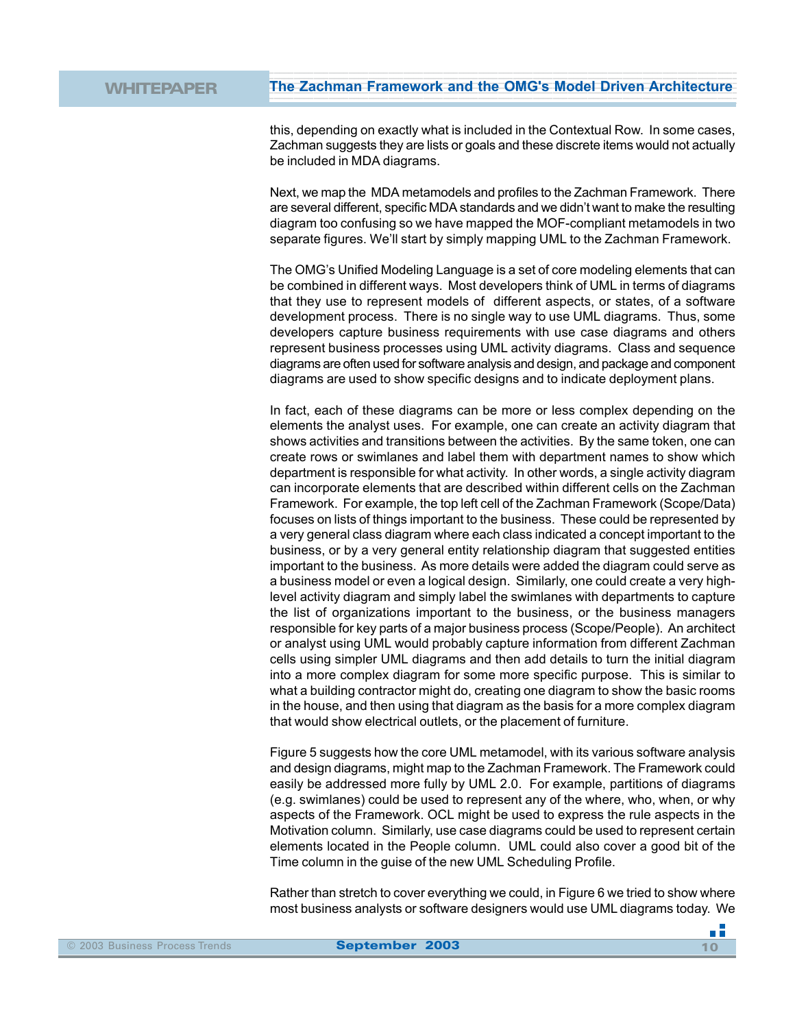this, depending on exactly what is included in the Contextual Row. In some cases, Zachman suggests they are lists or goals and these discrete items would not actually be included in MDA diagrams.

12345678901234567890123456789012123456789012345678901234567890121234567890123456789012345678901 12345678901234567890123456789012123456789012345678901234567890121234567890123456789012345678901

Next, we map the MDA metamodels and profiles to the Zachman Framework. There are several different, specific MDA standards and we didn't want to make the resulting diagram too confusing so we have mapped the MOF-compliant metamodels in two separate figures. We'll start by simply mapping UML to the Zachman Framework.

The OMG's Unified Modeling Language is a set of core modeling elements that can be combined in different ways. Most developers think of UML in terms of diagrams that they use to represent models of different aspects, or states, of a software development process. There is no single way to use UML diagrams. Thus, some developers capture business requirements with use case diagrams and others represent business processes using UML activity diagrams. Class and sequence diagrams are often used for software analysis and design, and package and component diagrams are used to show specific designs and to indicate deployment plans.

In fact, each of these diagrams can be more or less complex depending on the elements the analyst uses. For example, one can create an activity diagram that shows activities and transitions between the activities. By the same token, one can create rows or swimlanes and label them with department names to show which department is responsible for what activity. In other words, a single activity diagram can incorporate elements that are described within different cells on the Zachman Framework. For example, the top left cell of the Zachman Framework (Scope/Data) focuses on lists of things important to the business. These could be represented by a very general class diagram where each class indicated a concept important to the business, or by a very general entity relationship diagram that suggested entities important to the business. As more details were added the diagram could serve as a business model or even a logical design. Similarly, one could create a very highlevel activity diagram and simply label the swimlanes with departments to capture the list of organizations important to the business, or the business managers responsible for key parts of a major business process (Scope/People). An architect or analyst using UML would probably capture information from different Zachman cells using simpler UML diagrams and then add details to turn the initial diagram into a more complex diagram for some more specific purpose. This is similar to what a building contractor might do, creating one diagram to show the basic rooms in the house, and then using that diagram as the basis for a more complex diagram that would show electrical outlets, or the placement of furniture.

Figure 5 suggests how the core UML metamodel, with its various software analysis and design diagrams, might map to the Zachman Framework. The Framework could easily be addressed more fully by UML 2.0. For example, partitions of diagrams (e.g. swimlanes) could be used to represent any of the where, who, when, or why aspects of the Framework. OCL might be used to express the rule aspects in the Motivation column. Similarly, use case diagrams could be used to represent certain elements located in the People column. UML could also cover a good bit of the Time column in the guise of the new UML Scheduling Profile.

Rather than stretch to cover everything we could, in Figure 6 we tried to show where most business analysts or software designers would use UML diagrams today. We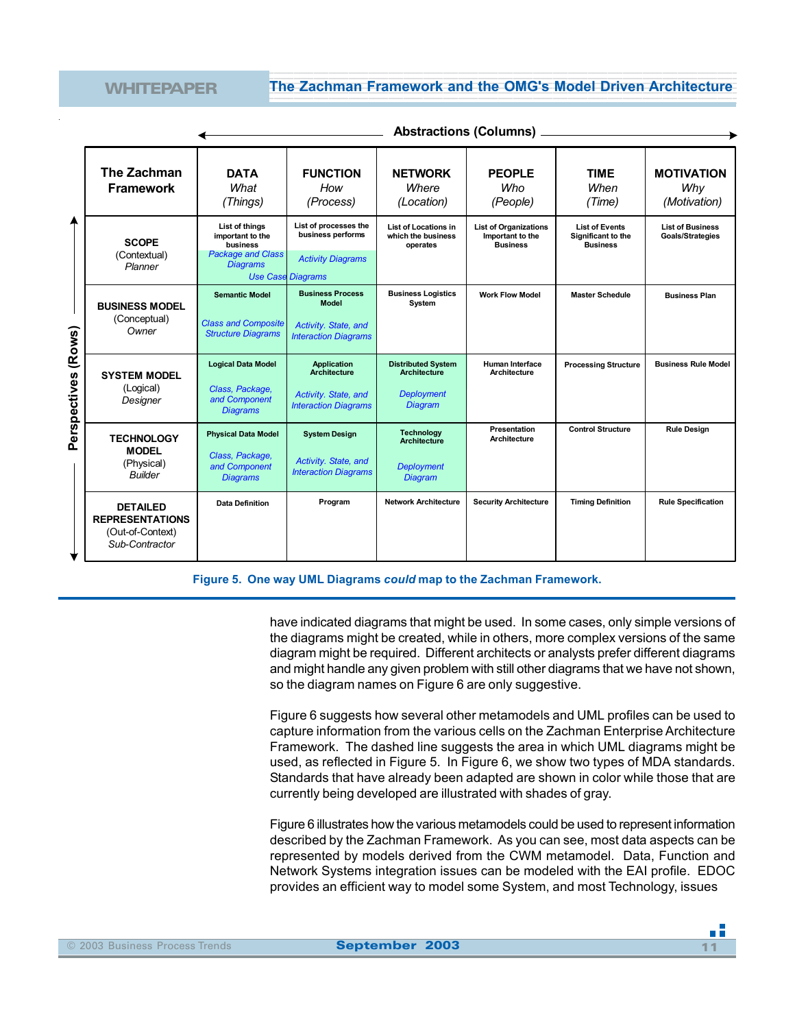|                        | Aboudouono (oordiniio)                                                          |                                                                                               |                                                                                                    |                                                                                         |                                                                     |                                                                |                                                    |
|------------------------|---------------------------------------------------------------------------------|-----------------------------------------------------------------------------------------------|----------------------------------------------------------------------------------------------------|-----------------------------------------------------------------------------------------|---------------------------------------------------------------------|----------------------------------------------------------------|----------------------------------------------------|
|                        | The Zachman<br><b>Framework</b>                                                 | <b>DATA</b><br>What<br>(Things)                                                               | <b>FUNCTION</b><br>How<br>(Process)                                                                | <b>NETWORK</b><br>Where<br>(Location)                                                   | <b>PEOPLE</b><br>Who<br>(People)                                    | <b>TIME</b><br>When<br>(Time)                                  | <b>MOTIVATION</b><br>Why<br>(Motivation)           |
| (Rows)<br>Perspectives | <b>SCOPE</b><br>(Contextual)<br>Planner                                         | List of things<br>important to the<br>business<br><b>Package and Class</b><br><b>Diagrams</b> | List of processes the<br>business performs<br><b>Activity Diagrams</b><br><b>Use Case Diagrams</b> | <b>List of Locations in</b><br>which the business<br>operates                           | <b>List of Organizations</b><br>Important to the<br><b>Business</b> | <b>List of Events</b><br>Significant to the<br><b>Business</b> | <b>List of Business</b><br><b>Goals/Strategies</b> |
|                        | <b>BUSINESS MODEL</b><br>(Conceptual)<br>Owner                                  | <b>Semantic Model</b><br><b>Class and Composite</b><br><b>Structure Diagrams</b>              | <b>Business Process</b><br><b>Model</b><br>Activity. State, and<br><b>Interaction Diagrams</b>     | <b>Business Logistics</b><br>System                                                     | <b>Work Flow Model</b>                                              | <b>Master Schedule</b>                                         | <b>Business Plan</b>                               |
|                        | <b>SYSTEM MODEL</b><br>(Logical)<br>Designer                                    | <b>Logical Data Model</b><br>Class, Package,<br>and Component<br><b>Diagrams</b>              | <b>Application</b><br><b>Architecture</b><br>Activity. State, and<br><b>Interaction Diagrams</b>   | <b>Distributed System</b><br><b>Architecture</b><br><b>Deployment</b><br><b>Diagram</b> | Human Interface<br>Architecture                                     | <b>Processing Structure</b>                                    | <b>Business Rule Model</b>                         |
|                        | <b>TECHNOLOGY</b><br><b>MODEL</b><br>(Physical)<br><b>Builder</b>               | <b>Physical Data Model</b><br>Class, Package,<br>and Component<br><b>Diagrams</b>             | <b>System Design</b><br>Activity. State, and<br><b>Interaction Diagrams</b>                        | <b>Technology</b><br><b>Architecture</b><br><b>Deployment</b><br><b>Diagram</b>         | Presentation<br>Architecture                                        | <b>Control Structure</b>                                       | <b>Rule Design</b>                                 |
|                        | <b>DETAILED</b><br><b>REPRESENTATIONS</b><br>(Out-of-Context)<br>Sub-Contractor | <b>Data Definition</b>                                                                        | Program                                                                                            | <b>Network Architecture</b>                                                             | <b>Security Architecture</b>                                        | <b>Timing Definition</b>                                       | <b>Rule Specification</b>                          |

**Abstractions (Columns)**

**Figure 5. One way UML Diagrams** *could* **map to the Zachman Framework.**

have indicated diagrams that might be used. In some cases, only simple versions of the diagrams might be created, while in others, more complex versions of the same diagram might be required. Different architects or analysts prefer different diagrams and might handle any given problem with still other diagrams that we have not shown, so the diagram names on Figure 6 are only suggestive.

Figure 6 suggests how several other metamodels and UML profiles can be used to capture information from the various cells on the Zachman Enterprise Architecture Framework. The dashed line suggests the area in which UML diagrams might be used, as reflected in Figure 5. In Figure 6, we show two types of MDA standards. Standards that have already been adapted are shown in color while those that are currently being developed are illustrated with shades of gray.

Figure 6 illustrates how the various metamodels could be used to represent information described by the Zachman Framework. As you can see, most data aspects can be represented by models derived from the CWM metamodel. Data, Function and Network Systems integration issues can be modeled with the EAI profile. EDOC provides an efficient way to model some System, and most Technology, issues

пĒ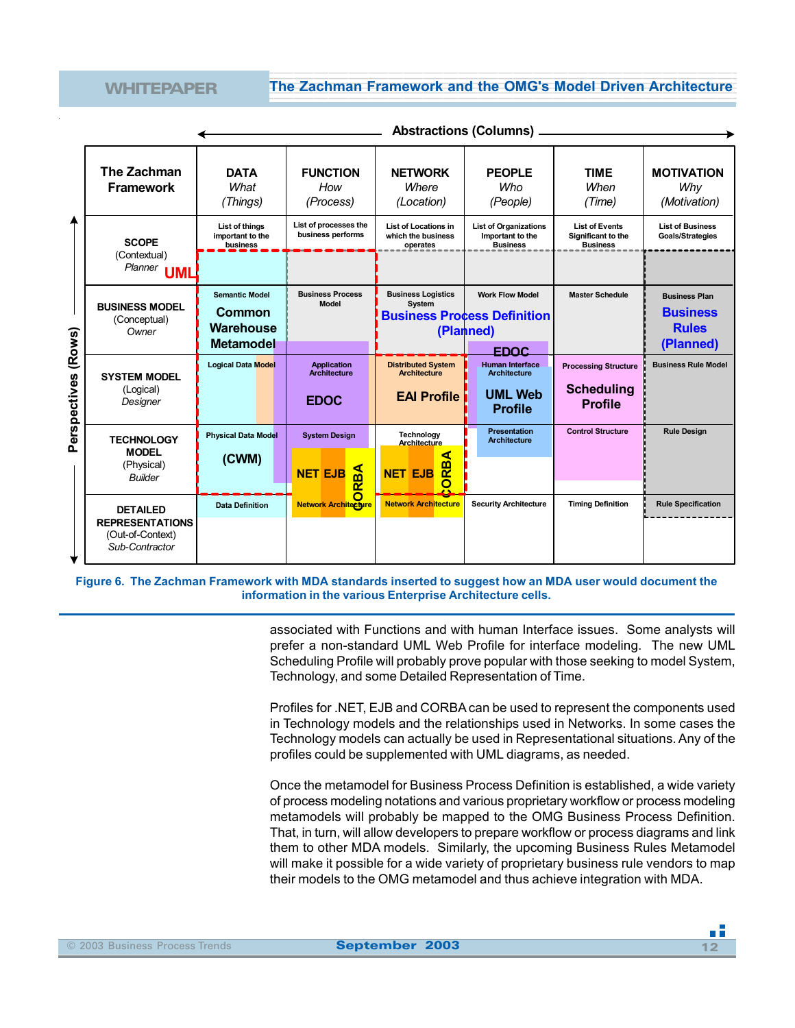12345678901234567890123456789012123456789012345678901234567890121234567890123456789012345678901 12345678901234567890123456789012123456789012345678901234567890121234567890123456789012345678901

|              |                                                                                 |                                                | <b>Abstractions (Columns)</b>                          |                                                               |                                                                           |                                                                |                                                         |
|--------------|---------------------------------------------------------------------------------|------------------------------------------------|--------------------------------------------------------|---------------------------------------------------------------|---------------------------------------------------------------------------|----------------------------------------------------------------|---------------------------------------------------------|
|              | The Zachman<br><b>Framework</b>                                                 | <b>DATA</b><br>What<br>(Things)                | <b>FUNCTION</b><br>How<br>(Process)                    | <b>NETWORK</b><br>Where<br>(Location)                         | <b>PEOPLE</b><br>Who<br>(People)                                          | <b>TIME</b><br>When<br>(Time)                                  | <b>MOTIVATION</b><br>Why<br>(Motivation)                |
|              | <b>SCOPE</b><br>(Contextual)                                                    | List of things<br>important to the<br>business | List of processes the<br>business performs             | <b>List of Locations in</b><br>which the business<br>operates | <b>List of Organizations</b><br>Important to the<br><b>Business</b>       | <b>List of Events</b><br>Significant to the<br><b>Business</b> | <b>List of Business</b><br><b>Goals/Strategies</b>      |
|              | Planner<br>UML                                                                  |                                                |                                                        |                                                               |                                                                           |                                                                |                                                         |
|              | <b>BUSINESS MODEL</b><br>(Conceptual)<br>Owner                                  | <b>Semantic Model</b><br>Common<br>Warehouse   | <b>Business Process</b><br><b>Model</b>                | <b>Business Logistics</b><br>System                           | <b>Work Flow Model</b><br><b>Business Process Definition</b><br>(Planned) | <b>Master Schedule</b>                                         | <b>Business Plan</b><br><b>Business</b><br><b>Rules</b> |
| (Rows)       |                                                                                 | <b>Metamodel</b>                               |                                                        |                                                               | <b>EDOC</b>                                                               |                                                                | (Planned)                                               |
| Perspectives | <b>SYSTEM MODEL</b>                                                             | <b>Logical Data Model</b>                      | <b>Application</b><br>Architecture                     | <b>Distributed System</b><br><b>Architecture</b>              | <b>Human Interface</b><br><b>Architecture</b>                             | <b>Processing Structure</b>                                    | <b>Business Rule Model</b>                              |
|              | (Logical)<br>Designer                                                           |                                                | <b>EDOC</b>                                            | <b>EAI Profile</b>                                            | <b>UML Web</b><br><b>Profile</b>                                          | <b>Scheduling</b><br><b>Profile</b>                            |                                                         |
|              | <b>TECHNOLOGY</b><br><b>MODEL</b><br>(Physical)                                 | <b>Physical Data Model</b><br>(CWM)            | <b>System Design</b><br>$\mathbf{B}$<br><b>NET EJB</b> | Technology<br>Architecture<br>⋖<br>RB.<br><b>NET EJB</b>      | <b>Presentation</b><br><b>Architecture</b>                                | <b>Control Structure</b>                                       | <b>Rule Design</b>                                      |
|              | <b>Builder</b>                                                                  |                                                | $\overline{\mathbf{r}}$                                | O                                                             |                                                                           |                                                                |                                                         |
|              | <b>DETAILED</b><br><b>REPRESENTATIONS</b><br>(Out-of-Context)<br>Sub-Contractor | <b>Data Definition</b>                         | <b>Network Architecture</b>                            | <b>Network Architecture</b>                                   | <b>Security Architecture</b>                                              | <b>Timing Definition</b>                                       | <b>Rule Specification</b>                               |

**Figure 6. The Zachman Framework with MDA standards inserted to suggest how an MDA user would document the information in the various Enterprise Architecture cells.**

> associated with Functions and with human Interface issues. Some analysts will prefer a non-standard UML Web Profile for interface modeling. The new UML Scheduling Profile will probably prove popular with those seeking to model System, Technology, and some Detailed Representation of Time.

> Profiles for .NET, EJB and CORBA can be used to represent the components used in Technology models and the relationships used in Networks. In some cases the Technology models can actually be used in Representational situations. Any of the profiles could be supplemented with UML diagrams, as needed.

> Once the metamodel for Business Process Definition is established, a wide variety of process modeling notations and various proprietary workflow or process modeling metamodels will probably be mapped to the OMG Business Process Definition. That, in turn, will allow developers to prepare workflow or process diagrams and link them to other MDA models. Similarly, the upcoming Business Rules Metamodel will make it possible for a wide variety of proprietary business rule vendors to map their models to the OMG metamodel and thus achieve integration with MDA.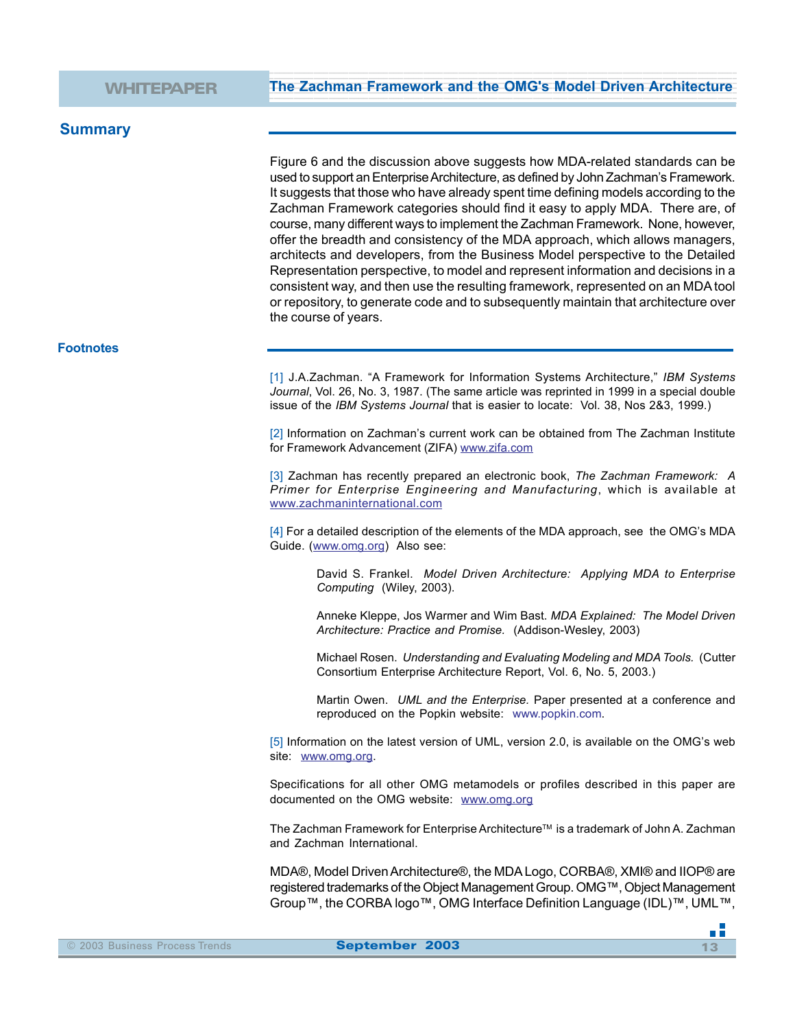## **Summary**

Figure 6 and the discussion above suggests how MDA-related standards can be used to support an Enterprise Architecture, as defined by John Zachman's Framework. It suggests that those who have already spent time defining models according to the Zachman Framework categories should find it easy to apply MDA. There are, of course, many different ways to implement the Zachman Framework. None, however, offer the breadth and consistency of the MDA approach, which allows managers, architects and developers, from the Business Model perspective to the Detailed Representation perspective, to model and represent information and decisions in a consistent way, and then use the resulting framework, represented on an MDA tool or repository, to generate code and to subsequently maintain that architecture over the course of years.

#### **Footnotes**

[1] J.A.Zachman. "A Framework for Information Systems Architecture," *IBM Systems Journal*, Vol. 26, No. 3, 1987. (The same article was reprinted in 1999 in a special double issue of the *IBM Systems Journal* that is easier to locate: Vol. 38, Nos 2&3, 1999.)

[2] Information on Zachman's current work can be obtained from The Zachman Institute for Framework Advancement (ZIFA) www.zifa.com

[3] Zachman has recently prepared an electronic book, *The Zachman Framework: A Primer for Enterprise Engineering and Manufacturing*, which is available at www.zachmaninternational.com

[4] For a detailed description of the elements of the MDA approach, see the OMG's MDA Guide. (www.omg.org) Also see:

David S. Frankel. *Model Driven Architecture: Applying MDA to Enterprise Computing* (Wiley, 2003).

Anneke Kleppe, Jos Warmer and Wim Bast. *MDA Explained: The Model Driven Architecture: Practice and Promise.* (Addison-Wesley, 2003)

Michael Rosen. *Understanding and Evaluating Modeling and MDA Tools.* (Cutter Consortium Enterprise Architecture Report, Vol. 6, No. 5, 2003.)

Martin Owen. *UML and the Enterprise.* Paper presented at a conference and reproduced on the Popkin website: www.popkin.com.

[5] Information on the latest version of UML, version 2.0, is available on the OMG's web site: www.omg.org.

Specifications for all other OMG metamodels or profiles described in this paper are documented on the OMG website: www.omg.org

The Zachman Framework for Enterprise Architecture™ is a trademark of John A. Zachman and Zachman International.

MDA®, Model Driven Architecture®, the MDA Logo, CORBA®, XMI® and IIOP® are registered trademarks of the Object Management Group. OMG™, Object Management Group™, the CORBA logo™, OMG Interface Definition Language (IDL)™, UML™,